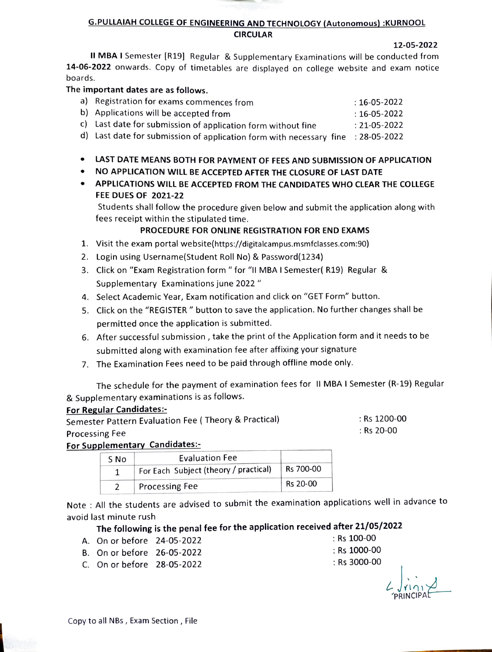#### G.PULLAIAH COLLEGE OF ENGINEERING AND TECHNOLOGY (Autonomous) :KURNOOL CIRCULAR

12-05-2022

II MBA I Semester [R19] Regular & Supplementary Examinations will be conducted from 14-06-2022 onwards. Copy of timetables are displayed on college website and exam notice boards.

## The important dates are as follows.

| a) Registration for exams commences from                                         | : 16-05-2022       |
|----------------------------------------------------------------------------------|--------------------|
| b) Applications will be accepted from                                            | $: 16 - 05 - 2022$ |
| c) Last date for submission of application form without fine                     | $: 21 - 05 - 2022$ |
| d) Last date for submission of application form with necessary fine : 28-05-2022 |                    |

- LAST DATE MEANS BOTH FOR PAYMENT OF FEES AND SUBMISSION OF APPLICATION
- NO APPLICATION WILL BE ACCEPTED AFTER THE CLOSURE OF LAST DATE
- APPLICATIONS WILL BE ACCEPTED FROM THE CANDIDATES WHO CLEAR THE COLLEGE FEE DUES OF 2021-22

Students shall follow the procedure given below and submit the application along with fees receipt within the stipulated time.

# PROCEDURE FOR ONLINE REGISTRATION FOR END EXAMS

- 1. Visit the exam portal website(https://digitalcampus.msmfclasses.com:90)
- 2. Login using Username(Student Roll No) & Password(1234)
- 3. Click on "Exam Registration form " for "I MBA I Semester( R19) Regular & Supplementary Examinations june 2022"
- 4. Select Academic Year, Exam notification and click on "GET Form" button.
- 5. Click on the "REGISTER" button to save the application. No further changes shall be permitted once the application is submitted.
- 6. After successful submission, take the print of the Application form and it needs to be submitted along with examination fee after affixing your signature
- 7. The Examination Fees need to be paid through offline mode only.

The schedule for the payment of examination fees for II MBA I Semester (R-19) Regular & Supplementary examinations is as follows.

#### For Regular Candidates:

Semester Pattern Evaluation Fee ( Theory & Practical) Processing Fee

Rs 1200-00 Rs 20-00

# For Supplementary Candidates:

| S No | <b>Evaluation Fee</b>                 |           |
|------|---------------------------------------|-----------|
|      | For Each Subject (theory / practical) | Rs 700-00 |
|      | <b>Processing Fee</b>                 | Rs 20-00  |

Note : All the students are advised to submit the examination applications well in advance to avoid last minute rush

# The following is the penal fee for the application received after 21/05/2022

- A. On or before 24-05-2022 :Rs 100-00
- B. On or before 26-05-2022 Rs 1000-00<br>
C. On or before 28-05-2022 Rs 3000-00
- C. On or before 28-05-2022
- 
- PRINCIPA